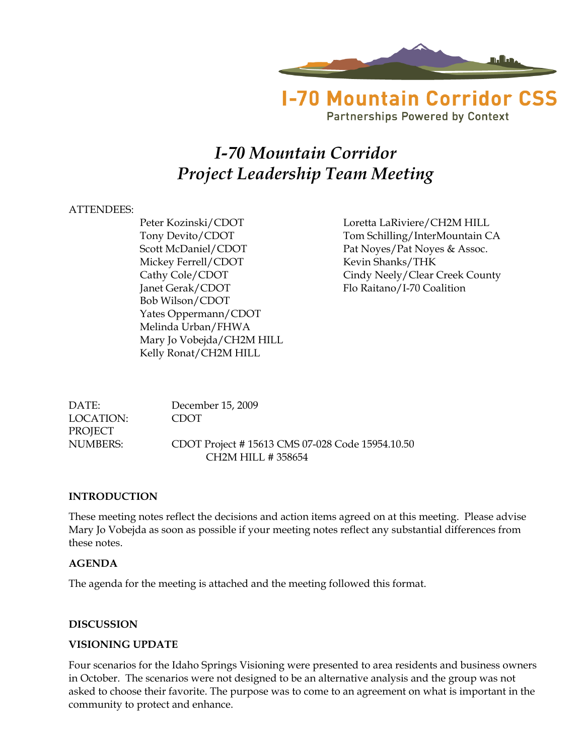

**Partnerships Powered by Context** 

# *I-70 Mountain Corridor Project Leadership Team Meeting*

### ATTENDEES:

Mickey Ferrell/CDOT Kevin Shanks/THK Janet Gerak/CDOT Flo Raitano/I-70 Coalition Bob Wilson/CDOT Yates Oppermann/CDOT Melinda Urban/FHWA Mary Jo Vobejda/CH2M HILL Kelly Ronat/CH2M HILL

Peter Kozinski/CDOT Loretta LaRiviere/CH2M HILL Tony Devito/CDOT Tom Schilling/InterMountain CA Scott McDaniel/CDOT Pat Noyes/Pat Noyes & Assoc. Cathy Cole/CDOT Cindy Neely/Clear Creek County

DATE: December 15, 2009 LOCATION: CDOT **PROJECT** NUMBERS: CDOT Project # 15613 CMS 07-028 Code 15954.10.50 CH2M HILL # 358654

#### **INTRODUCTION**

These meeting notes reflect the decisions and action items agreed on at this meeting. Please advise Mary Jo Vobejda as soon as possible if your meeting notes reflect any substantial differences from these notes.

### **AGENDA**

The agenda for the meeting is attached and the meeting followed this format.

#### **DISCUSSION**

#### **VISIONING UPDATE**

Four scenarios for the Idaho Springs Visioning were presented to area residents and business owners in October. The scenarios were not designed to be an alternative analysis and the group was not asked to choose their favorite. The purpose was to come to an agreement on what is important in the community to protect and enhance.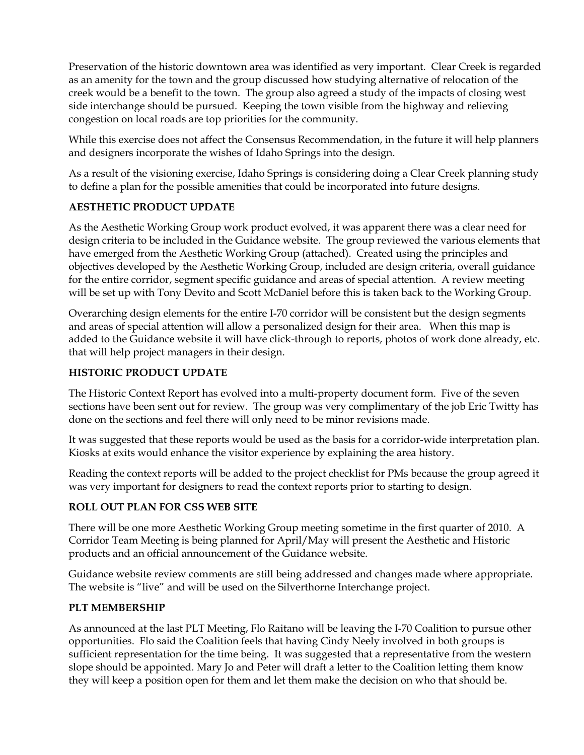Preservation of the historic downtown area was identified as very important. Clear Creek is regarded as an amenity for the town and the group discussed how studying alternative of relocation of the creek would be a benefit to the town. The group also agreed a study of the impacts of closing west side interchange should be pursued. Keeping the town visible from the highway and relieving congestion on local roads are top priorities for the community.

While this exercise does not affect the Consensus Recommendation, in the future it will help planners and designers incorporate the wishes of Idaho Springs into the design.

As a result of the visioning exercise, Idaho Springs is considering doing a Clear Creek planning study to define a plan for the possible amenities that could be incorporated into future designs.

## **AESTHETIC PRODUCT UPDATE**

As the Aesthetic Working Group work product evolved, it was apparent there was a clear need for design criteria to be included in the Guidance website. The group reviewed the various elements that have emerged from the Aesthetic Working Group (attached). Created using the principles and objectives developed by the Aesthetic Working Group, included are design criteria, overall guidance for the entire corridor, segment specific guidance and areas of special attention. A review meeting will be set up with Tony Devito and Scott McDaniel before this is taken back to the Working Group.

Overarching design elements for the entire I-70 corridor will be consistent but the design segments and areas of special attention will allow a personalized design for their area. When this map is added to the Guidance website it will have click-through to reports, photos of work done already, etc. that will help project managers in their design.

# **HISTORIC PRODUCT UPDATE**

The Historic Context Report has evolved into a multi-property document form. Five of the seven sections have been sent out for review. The group was very complimentary of the job Eric Twitty has done on the sections and feel there will only need to be minor revisions made.

It was suggested that these reports would be used as the basis for a corridor-wide interpretation plan. Kiosks at exits would enhance the visitor experience by explaining the area history.

Reading the context reports will be added to the project checklist for PMs because the group agreed it was very important for designers to read the context reports prior to starting to design.

## **ROLL OUT PLAN FOR CSS WEB SITE**

There will be one more Aesthetic Working Group meeting sometime in the first quarter of 2010. A Corridor Team Meeting is being planned for April/May will present the Aesthetic and Historic products and an official announcement of the Guidance website.

Guidance website review comments are still being addressed and changes made where appropriate. The website is "live" and will be used on the Silverthorne Interchange project.

## **PLT MEMBERSHIP**

As announced at the last PLT Meeting, Flo Raitano will be leaving the I-70 Coalition to pursue other opportunities. Flo said the Coalition feels that having Cindy Neely involved in both groups is sufficient representation for the time being. It was suggested that a representative from the western slope should be appointed. Mary Jo and Peter will draft a letter to the Coalition letting them know they will keep a position open for them and let them make the decision on who that should be.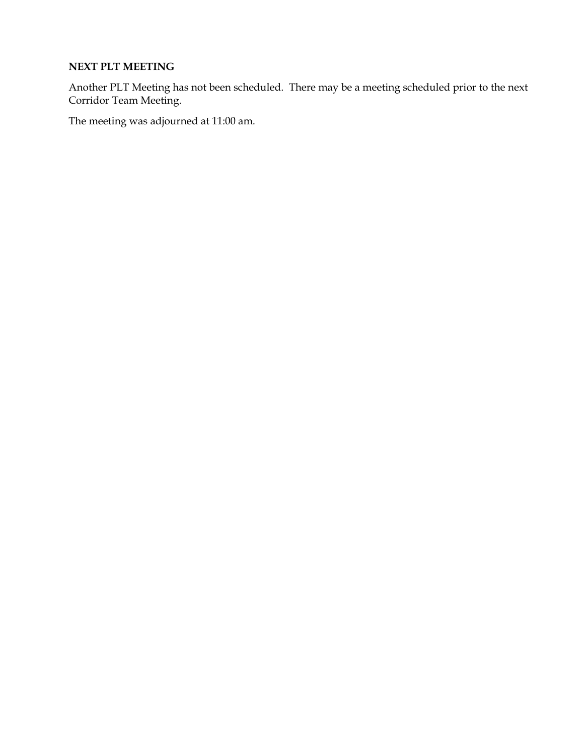### **NEXT PLT MEETING**

Another PLT Meeting has not been scheduled. There may be a meeting scheduled prior to the next Corridor Team Meeting.

The meeting was adjourned at 11:00 am.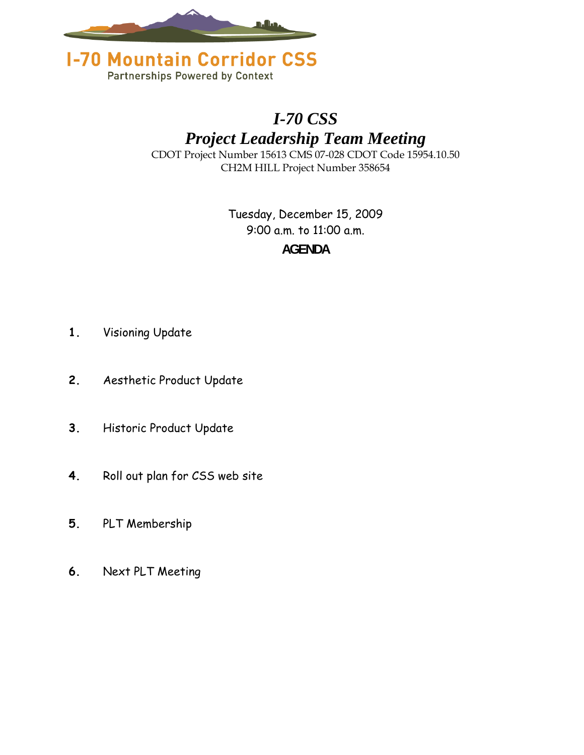



# *I-70 CSS*

*Project Leadership Team Meeting* 

CDOT Project Number 15613 CMS 07-028 CDOT Code 15954.10.50 CH2M HILL Project Number 358654

> Tuesday, December 15, 2009 9:00 a.m. to 11:00 a.m. **AGENDA**

- **1.** Visioning Update
- **2.** Aesthetic Product Update
- **3.** Historic Product Update
- **4.** Roll out plan for CSS web site
- **5.** PLT Membership
- **6.** Next PLT Meeting